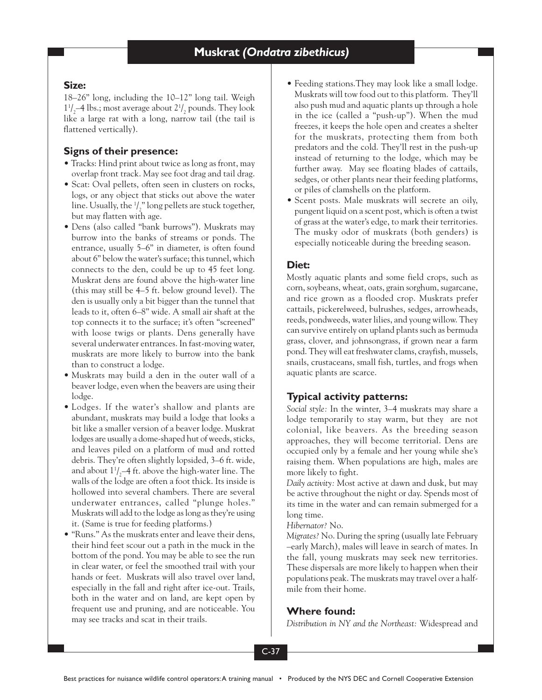## **Size:**

18–26" long, including the 10–12" long tail. Weigh  $1\frac{1}{2}$ –4 lbs.; most average about  $2\frac{1}{2}$  pounds. They look like a large rat with a long, narrow tail (the tail is flattened vertically).

# **Signs of their presence:**

- Tracks: Hind print about twice as long as front, may overlap front track. May see foot drag and tail drag.
- Scat: Oval pellets, often seen in clusters on rocks, logs, or any object that sticks out above the water line. Usually, the  $\frac{1}{2}$ " long pellets are stuck together, but may flatten with age.
- Dens (also called "bank burrows"). Muskrats may burrow into the banks of streams or ponds. The entrance, usually 5–6" in diameter, is often found about 6" below the water's surface; this tunnel, which connects to the den, could be up to 45 feet long. Muskrat dens are found above the high-water line (this may still be 4–5 ft. below ground level). The den is usually only a bit bigger than the tunnel that leads to it, often 6–8" wide. A small air shaft at the top connects it to the surface; it's often "screened" with loose twigs or plants. Dens generally have several underwater entrances. In fast-moving water, muskrats are more likely to burrow into the bank than to construct a lodge.
- Muskrats may build a den in the outer wall of a beaver lodge, even when the beavers are using their lodge.
- Lodges. If the water's shallow and plants are abundant, muskrats may build a lodge that looks a bit like a smaller version of a beaver lodge. Muskrat lodges are usually a dome-shaped hut of weeds, sticks, and leaves piled on a platform of mud and rotted debris. They're often slightly lopsided, 3–6 ft. wide, and about  $1^{\frac{1}{2}}$ –4 ft. above the high-water line. The walls of the lodge are often a foot thick. Its inside is hollowed into several chambers. There are several underwater entrances, called "plunge holes." Muskrats will add to the lodge as long as they're using it. (Same is true for feeding platforms.)
- "Runs." As the muskrats enter and leave their dens, their hind feet scour out a path in the muck in the bottom of the pond. You may be able to see the run in clear water, or feel the smoothed trail with your hands or feet. Muskrats will also travel over land, especially in the fall and right after ice-out. Trails, both in the water and on land, are kept open by frequent use and pruning, and are noticeable. You may see tracks and scat in their trails.
- Feeding stations.They may look like a small lodge. Muskrats will tow food out to this platform. They'll also push mud and aquatic plants up through a hole in the ice (called a "push-up"). When the mud freezes, it keeps the hole open and creates a shelter for the muskrats, protecting them from both predators and the cold. They'll rest in the push-up instead of returning to the lodge, which may be further away. May see floating blades of cattails, sedges, or other plants near their feeding platforms, or piles of clamshells on the platform.
- Scent posts. Male muskrats will secrete an oily, pungent liquid on a scent post, which is often a twist of grass at the water's edge, to mark their territories. The musky odor of muskrats (both genders) is especially noticeable during the breeding season.

# **Diet:**

Mostly aquatic plants and some field crops, such as corn, soybeans, wheat, oats, grain sorghum, sugarcane, and rice grown as a flooded crop. Muskrats prefer cattails, pickerelweed, bulrushes, sedges, arrowheads, reeds, pondweeds, water lilies, and young willow. They can survive entirely on upland plants such as bermuda grass, clover, and johnsongrass, if grown near a farm pond. They will eat freshwater clams, crayfish, mussels, snails, crustaceans, small fish, turtles, and frogs when aquatic plants are scarce.

# **Typical activity patterns:**

*Social style:* In the winter, 3–4 muskrats may share a lodge temporarily to stay warm, but they are not colonial, like beavers. As the breeding season approaches, they will become territorial. Dens are occupied only by a female and her young while she's raising them. When populations are high, males are more likely to fight.

*Daily activity:* Most active at dawn and dusk, but may be active throughout the night or day. Spends most of its time in the water and can remain submerged for a long time.

*Hibernator?* No.

*Migrates?* No. During the spring (usually late February –early March), males will leave in search of mates. In the fall, young muskrats may seek new territories. These dispersals are more likely to happen when their populations peak. The muskrats may travel over a halfmile from their home.

## **Where found:**

*Distribution in NY and the Northeast:* Widespread and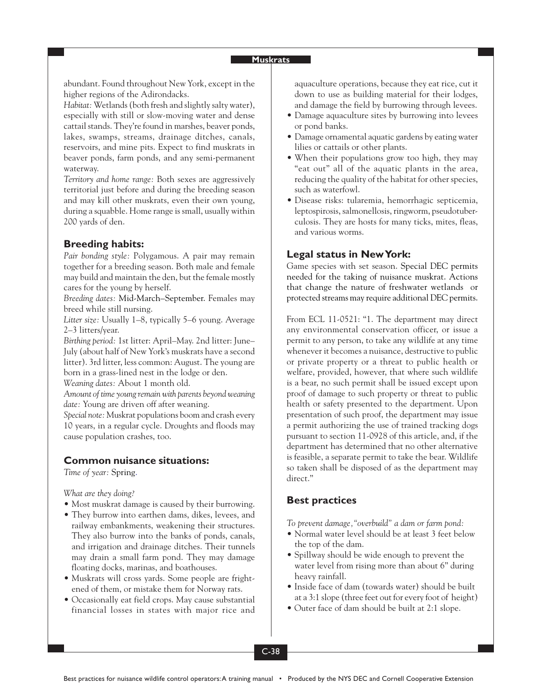#### **Muskrats**

abundant. Found throughout New York, except in the higher regions of the Adirondacks.

*Habitat:* Wetlands (both fresh and slightly salty water), especially with still or slow-moving water and dense cattail stands. They're found in marshes, beaver ponds, lakes, swamps, streams, drainage ditches, canals, reservoirs, and mine pits. Expect to find muskrats in beaver ponds, farm ponds, and any semi-permanent waterway.

*Territory and home range:* Both sexes are aggressively territorial just before and during the breeding season and may kill other muskrats, even their own young, during a squabble. Home range is small, usually within 200 yards of den.

## **Breeding habits:**

*Pair bonding style:* Polygamous. A pair may remain together for a breeding season. Both male and female may build and maintain the den, but the female mostly cares for the young by herself.

*Breeding dates:* Mid-March–September. Females may breed while still nursing.

*Litter size:* Usually 1–8, typically 5–6 young. Average 2–3 litters/year.

*Birthing period:* 1st litter: April–May. 2nd litter: June– July (about half of New York's muskrats have a second litter). 3rd litter, less common: August. The young are born in a grass-lined nest in the lodge or den.

*Weaning dates:* About 1 month old.

*Amount of time young remain with parents beyond weaning date:* Young are driven off after weaning.

*Special note:* Muskrat populations boom and crash every 10 years, in a regular cycle. Droughts and floods may cause population crashes, too.

### **Common nuisance situations:**

*Time of year:* Spring.

*What are they doing?*

- Most muskrat damage is caused by their burrowing.
- They burrow into earthen dams, dikes, levees, and railway embankments, weakening their structures. They also burrow into the banks of ponds, canals, and irrigation and drainage ditches. Their tunnels may drain a small farm pond. They may damage floating docks, marinas, and boathouses.
- Muskrats will cross yards. Some people are frightened of them, or mistake them for Norway rats.
- Occasionally eat field crops. May cause substantial financial losses in states with major rice and

aquaculture operations, because they eat rice, cut it down to use as building material for their lodges, and damage the field by burrowing through levees.

- Damage aquaculture sites by burrowing into levees or pond banks.
- Damage ornamental aquatic gardens by eating water lilies or cattails or other plants.
- When their populations grow too high, they may "eat out" all of the aquatic plants in the area, reducing the quality of the habitat for other species, such as waterfowl.
- Disease risks: tularemia, hemorrhagic septicemia, leptospirosis, salmonellosis, ringworm, pseudotuberculosis. They are hosts for many ticks, mites, fleas, and various worms.

### **Legal status in New York:**

Game species with set season. Special DEC permits needed for the taking of nuisance muskrat. Actions that change the nature of freshwater wetlands or protected streams may require additional DEC permits.

From ECL 11-0521: "1. The department may direct any environmental conservation officer, or issue a permit to any person, to take any wildlife at any time whenever it becomes a nuisance, destructive to public or private property or a threat to public health or welfare, provided, however, that where such wildlife is a bear, no such permit shall be issued except upon proof of damage to such property or threat to public health or safety presented to the department. Upon presentation of such proof, the department may issue a permit authorizing the use of trained tracking dogs pursuant to section 11-0928 of this article, and, if the department has determined that no other alternative is feasible, a separate permit to take the bear. Wildlife so taken shall be disposed of as the department may direct."

### **Best practices**

*To prevent damage,"overbuild" a dam or farm pond:*

- Normal water level should be at least 3 feet below the top of the dam.
- Spillway should be wide enough to prevent the water level from rising more than about 6" during heavy rainfall.
- Inside face of dam (towards water) should be built at a 3:1 slope (three feet out for every foot of height)
- Outer face of dam should be built at 2:1 slope.